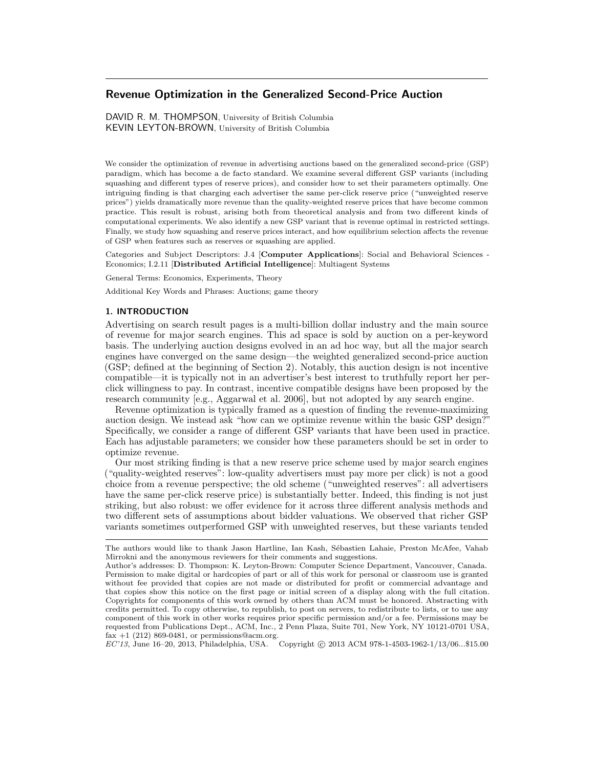# Revenue Optimization in the Generalized Second-Price Auction

DAVID R. M. THOMPSON, University of British Columbia KEVIN LEYTON-BROWN, University of British Columbia

We consider the optimization of revenue in advertising auctions based on the generalized second-price (GSP) paradigm, which has become a de facto standard. We examine several different GSP variants (including squashing and different types of reserve prices), and consider how to set their parameters optimally. One intriguing finding is that charging each advertiser the same per-click reserve price ("unweighted reserve prices") yields dramatically more revenue than the quality-weighted reserve prices that have become common practice. This result is robust, arising both from theoretical analysis and from two different kinds of computational experiments. We also identify a new GSP variant that is revenue optimal in restricted settings. Finally, we study how squashing and reserve prices interact, and how equilibrium selection affects the revenue of GSP when features such as reserves or squashing are applied.

Categories and Subject Descriptors: J.4 [Computer Applications]: Social and Behavioral Sciences - Economics; I.2.11 [Distributed Artificial Intelligence]: Multiagent Systems

General Terms: Economics, Experiments, Theory

Additional Key Words and Phrases: Auctions; game theory

#### 1. INTRODUCTION

Advertising on search result pages is a multi-billion dollar industry and the main source of revenue for major search engines. This ad space is sold by auction on a per-keyword basis. The underlying auction designs evolved in an ad hoc way, but all the major search engines have converged on the same design—the weighted generalized second-price auction (GSP; defined at the beginning of Section 2). Notably, this auction design is not incentive compatible—it is typically not in an advertiser's best interest to truthfully report her perclick willingness to pay. In contrast, incentive compatible designs have been proposed by the research community [e.g., Aggarwal et al. 2006], but not adopted by any search engine.

Revenue optimization is typically framed as a question of finding the revenue-maximizing auction design. We instead ask "how can we optimize revenue within the basic GSP design?" Specifically, we consider a range of different GSP variants that have been used in practice. Each has adjustable parameters; we consider how these parameters should be set in order to optimize revenue.

Our most striking finding is that a new reserve price scheme used by major search engines ("quality-weighted reserves": low-quality advertisers must pay more per click) is not a good choice from a revenue perspective; the old scheme ("unweighted reserves": all advertisers have the same per-click reserve price) is substantially better. Indeed, this finding is not just striking, but also robust: we offer evidence for it across three different analysis methods and two different sets of assumptions about bidder valuations. We observed that richer GSP variants sometimes outperformed GSP with unweighted reserves, but these variants tended

EC'13, June 16–20, 2013, Philadelphia, USA. Copyright © 2013 ACM 978-1-4503-1962-1/13/06...\$15.00

The authors would like to thank Jason Hartline, Ian Kash, Sébastien Lahaie, Preston McAfee, Vahab Mirrokni and the anonymous reviewers for their comments and suggestions.

Author's addresses: D. Thompson: K. Leyton-Brown: Computer Science Department, Vancouver, Canada. Permission to make digital or hardcopies of part or all of this work for personal or classroom use is granted without fee provided that copies are not made or distributed for profit or commercial advantage and that copies show this notice on the first page or initial screen of a display along with the full citation. Copyrights for components of this work owned by others than ACM must be honored. Abstracting with credits permitted. To copy otherwise, to republish, to post on servers, to redistribute to lists, or to use any component of this work in other works requires prior specific permission and/or a fee. Permissions may be requested from Publications Dept., ACM, Inc., 2 Penn Plaza, Suite 701, New York, NY 10121-0701 USA, fax  $+1$  (212) 869-0481, or permissions@acm.org.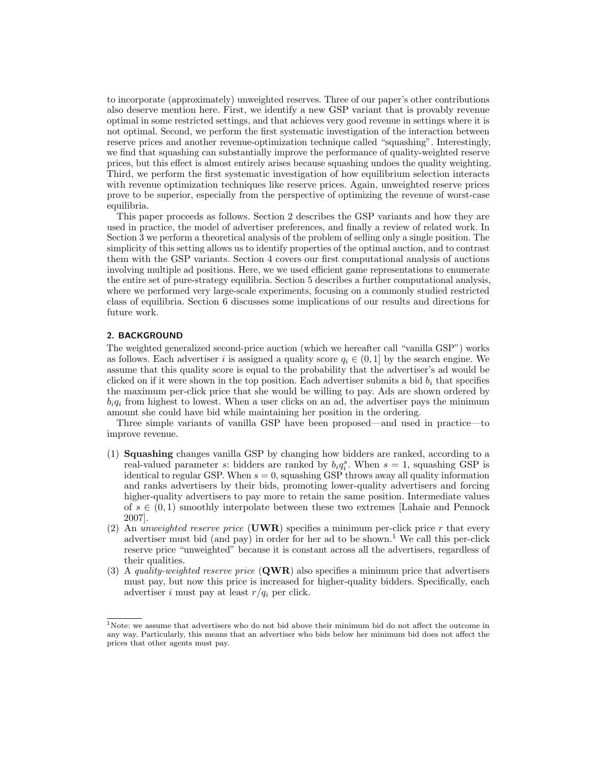to incorporate (approximately) unweighted reserves. Three of our paper's other contributions also deserve mention here. First, we identify a new GSP variant that is provably revenue optimal in some restricted settings, and that achieves very good revenue in settings where it is not optimal. Second, we perform the first systematic investigation of the interaction between reserve prices and another revenue-optimization technique called "squashing". Interestingly, we find that squashing can substantially improve the performance of quality-weighted reserve prices, but this effect is almost entirely arises because squashing undoes the quality weighting. Third, we perform the first systematic investigation of how equilibrium selection interacts with revenue optimization techniques like reserve prices. Again, unweighted reserve prices prove to be superior, especially from the perspective of optimizing the revenue of worst-case equilibria.

This paper proceeds as follows. Section 2 describes the GSP variants and how they are used in practice, the model of advertiser preferences, and finally a review of related work. In Section 3 we perform a theoretical analysis of the problem of selling only a single position. The simplicity of this setting allows us to identify properties of the optimal auction, and to contrast them with the GSP variants. Section 4 covers our first computational analysis of auctions involving multiple ad positions. Here, we we used efficient game representations to enumerate the entire set of pure-strategy equilibria. Section 5 describes a further computational analysis, where we performed very large-scale experiments, focusing on a commonly studied restricted class of equilibria. Section 6 discusses some implications of our results and directions for future work.

# 2. BACKGROUND

The weighted generalized second-price auction (which we hereafter call "vanilla GSP") works as follows. Each advertiser i is assigned a quality score  $q_i \in (0, 1]$  by the search engine. We assume that this quality score is equal to the probability that the advertiser's ad would be clicked on if it were shown in the top position. Each advertiser submits a bid  $b_i$  that specifies the maximum per-click price that she would be willing to pay. Ads are shown ordered by  $b_iq_i$  from highest to lowest. When a user clicks on an ad, the advertiser pays the minimum amount she could have bid while maintaining her position in the ordering.

Three simple variants of vanilla GSP have been proposed—and used in practice—to improve revenue.

- (1) Squashing changes vanilla GSP by changing how bidders are ranked, according to a real-valued parameter s: bidders are ranked by  $b_i q_i^s$ . When  $s = 1$ , squashing GSP is identical to regular GSP. When  $s = 0$ , squashing GSP throws away all quality information and ranks advertisers by their bids, promoting lower-quality advertisers and forcing higher-quality advertisers to pay more to retain the same position. Intermediate values of  $s \in (0,1)$  smoothly interpolate between these two extremes [Lahaie and Pennock 2007].
- (2) An unweighted reserve price (UWR) specifies a minimum per-click price r that every advertiser must bid (and pay) in order for her ad to be shown.<sup>1</sup> We call this per-click reserve price "unweighted" because it is constant across all the advertisers, regardless of their qualities.
- (3) A quality-weighted reserve price  $(QWR)$  also specifies a minimum price that advertisers must pay, but now this price is increased for higher-quality bidders. Specifically, each advertiser i must pay at least  $r/q_i$  per click.

 $1$ Note: we assume that advertisers who do not bid above their minimum bid do not affect the outcome in any way. Particularly, this means that an advertiser who bids below her minimum bid does not affect the prices that other agents must pay.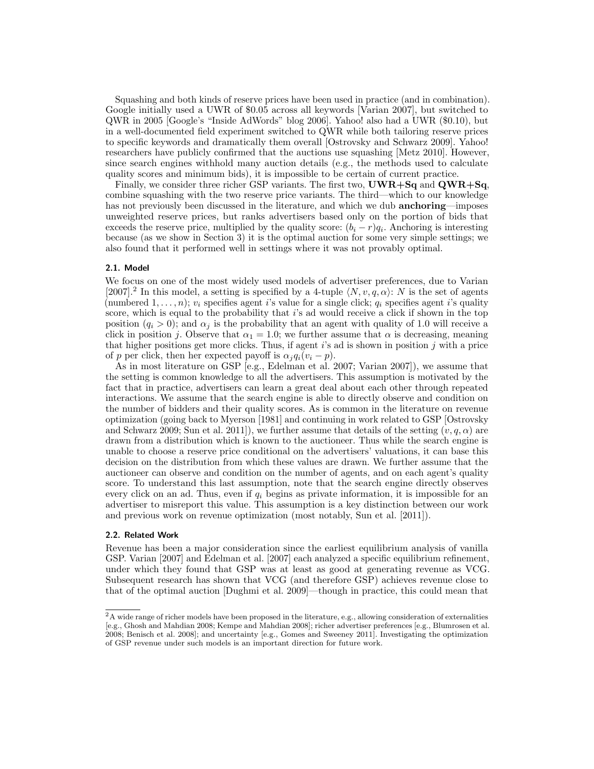Squashing and both kinds of reserve prices have been used in practice (and in combination). Google initially used a UWR of \$0.05 across all keywords [Varian 2007], but switched to QWR in 2005 [Google's "Inside AdWords" blog 2006]. Yahoo! also had a UWR (\$0.10), but in a well-documented field experiment switched to QWR while both tailoring reserve prices to specific keywords and dramatically them overall [Ostrovsky and Schwarz 2009]. Yahoo! researchers have publicly confirmed that the auctions use squashing [Metz 2010]. However, since search engines withhold many auction details (e.g., the methods used to calculate quality scores and minimum bids), it is impossible to be certain of current practice.

Finally, we consider three richer GSP variants. The first two,  $\mathbf{UWR}+\mathbf{Sq}$  and  $\mathbf{QWR}+\mathbf{Sq}$ , combine squashing with the two reserve price variants. The third—which to our knowledge has not previously been discussed in the literature, and which we dub **anchoring**—imposes unweighted reserve prices, but ranks advertisers based only on the portion of bids that exceeds the reserve price, multiplied by the quality score:  $(b_i - r)q_i$ . Anchoring is interesting because (as we show in Section 3) it is the optimal auction for some very simple settings; we also found that it performed well in settings where it was not provably optimal.

# 2.1. Model

We focus on one of the most widely used models of advertiser preferences, due to Varian [2007].<sup>2</sup> In this model, a setting is specified by a 4-tuple  $\langle N, v, q, \alpha \rangle$ : N is the set of agents (numbered  $1, \ldots, n$ );  $v_i$  specifies agent *i*'s value for a single click;  $q_i$  specifies agent *i*'s quality score, which is equal to the probability that  $i$ 's ad would receive a click if shown in the top position  $(q_i > 0)$ ; and  $\alpha_i$  is the probability that an agent with quality of 1.0 will receive a click in position j. Observe that  $\alpha_1 = 1.0$ ; we further assume that  $\alpha$  is decreasing, meaning that higher positions get more clicks. Thus, if agent i's ad is shown in position j with a price of p per click, then her expected payoff is  $\alpha_i q_i(v_i - p)$ .

As in most literature on GSP [e.g., Edelman et al. 2007; Varian 2007]), we assume that the setting is common knowledge to all the advertisers. This assumption is motivated by the fact that in practice, advertisers can learn a great deal about each other through repeated interactions. We assume that the search engine is able to directly observe and condition on the number of bidders and their quality scores. As is common in the literature on revenue optimization (going back to Myerson [1981] and continuing in work related to GSP [Ostrovsky and Schwarz 2009; Sun et al. 2011]), we further assume that details of the setting  $(v, q, \alpha)$  are drawn from a distribution which is known to the auctioneer. Thus while the search engine is unable to choose a reserve price conditional on the advertisers' valuations, it can base this decision on the distribution from which these values are drawn. We further assume that the auctioneer can observe and condition on the number of agents, and on each agent's quality score. To understand this last assumption, note that the search engine directly observes every click on an ad. Thus, even if  $q_i$  begins as private information, it is impossible for an advertiser to misreport this value. This assumption is a key distinction between our work and previous work on revenue optimization (most notably, Sun et al. [2011]).

#### 2.2. Related Work

Revenue has been a major consideration since the earliest equilibrium analysis of vanilla GSP. Varian [2007] and Edelman et al. [2007] each analyzed a specific equilibrium refinement, under which they found that GSP was at least as good at generating revenue as VCG. Subsequent research has shown that VCG (and therefore GSP) achieves revenue close to that of the optimal auction [Dughmi et al. 2009]—though in practice, this could mean that

 $^2\mathrm{A}$  wide range of richer models have been proposed in the literature, e.g., allowing consideration of externalities [e.g., Ghosh and Mahdian 2008; Kempe and Mahdian 2008]; richer advertiser preferences [e.g., Blumrosen et al. 2008; Benisch et al. 2008]; and uncertainty [e.g., Gomes and Sweeney 2011]. Investigating the optimization of GSP revenue under such models is an important direction for future work.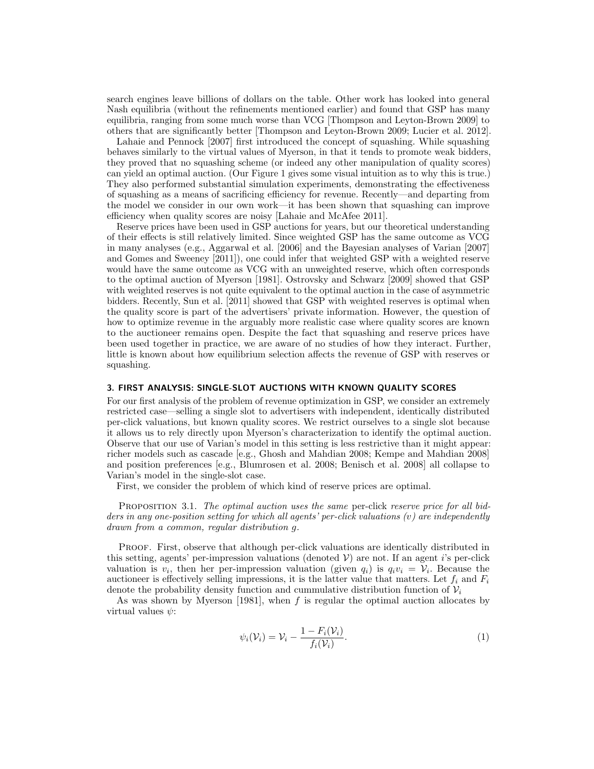search engines leave billions of dollars on the table. Other work has looked into general Nash equilibria (without the refinements mentioned earlier) and found that GSP has many equilibria, ranging from some much worse than VCG [Thompson and Leyton-Brown 2009] to others that are significantly better [Thompson and Leyton-Brown 2009; Lucier et al. 2012].

Lahaie and Pennock [2007] first introduced the concept of squashing. While squashing behaves similarly to the virtual values of Myerson, in that it tends to promote weak bidders, they proved that no squashing scheme (or indeed any other manipulation of quality scores) can yield an optimal auction. (Our Figure 1 gives some visual intuition as to why this is true.) They also performed substantial simulation experiments, demonstrating the effectiveness of squashing as a means of sacrificing efficiency for revenue. Recently—and departing from the model we consider in our own work—it has been shown that squashing can improve efficiency when quality scores are noisy [Lahaie and McAfee 2011].

Reserve prices have been used in GSP auctions for years, but our theoretical understanding of their effects is still relatively limited. Since weighted GSP has the same outcome as VCG in many analyses (e.g., Aggarwal et al. [2006] and the Bayesian analyses of Varian [2007] and Gomes and Sweeney [2011]), one could infer that weighted GSP with a weighted reserve would have the same outcome as VCG with an unweighted reserve, which often corresponds to the optimal auction of Myerson [1981]. Ostrovsky and Schwarz [2009] showed that GSP with weighted reserves is not quite equivalent to the optimal auction in the case of asymmetric bidders. Recently, Sun et al. [2011] showed that GSP with weighted reserves is optimal when the quality score is part of the advertisers' private information. However, the question of how to optimize revenue in the arguably more realistic case where quality scores are known to the auctioneer remains open. Despite the fact that squashing and reserve prices have been used together in practice, we are aware of no studies of how they interact. Further, little is known about how equilibrium selection affects the revenue of GSP with reserves or squashing.

# 3. FIRST ANALYSIS: SINGLE-SLOT AUCTIONS WITH KNOWN QUALITY SCORES

For our first analysis of the problem of revenue optimization in GSP, we consider an extremely restricted case—selling a single slot to advertisers with independent, identically distributed per-click valuations, but known quality scores. We restrict ourselves to a single slot because it allows us to rely directly upon Myerson's characterization to identify the optimal auction. Observe that our use of Varian's model in this setting is less restrictive than it might appear: richer models such as cascade [e.g., Ghosh and Mahdian 2008; Kempe and Mahdian 2008] and position preferences [e.g., Blumrosen et al. 2008; Benisch et al. 2008] all collapse to Varian's model in the single-slot case.

First, we consider the problem of which kind of reserve prices are optimal.

PROPOSITION 3.1. The optimal auction uses the same per-click reserve price for all bidders in any one-position setting for which all agents' per-click valuations (v) are independently drawn from a common, regular distribution g.

Proof. First, observe that although per-click valuations are identically distributed in this setting, agents' per-impression valuations (denoted  $V$ ) are not. If an agent i's per-click valuation is  $v_i$ , then her per-impression valuation (given  $q_i$ ) is  $q_i v_i = V_i$ . Because the auctioneer is effectively selling impressions, it is the latter value that matters. Let  $f_i$  and  $F_i$ denote the probability density function and cummulative distribution function of  $\mathcal{V}_i$ 

As was shown by Myerson  $[1981]$ , when f is regular the optimal auction allocates by virtual values  $\psi$ :

$$
\psi_i(\mathcal{V}_i) = \mathcal{V}_i - \frac{1 - F_i(\mathcal{V}_i)}{f_i(\mathcal{V}_i)}.
$$
\n
$$
(1)
$$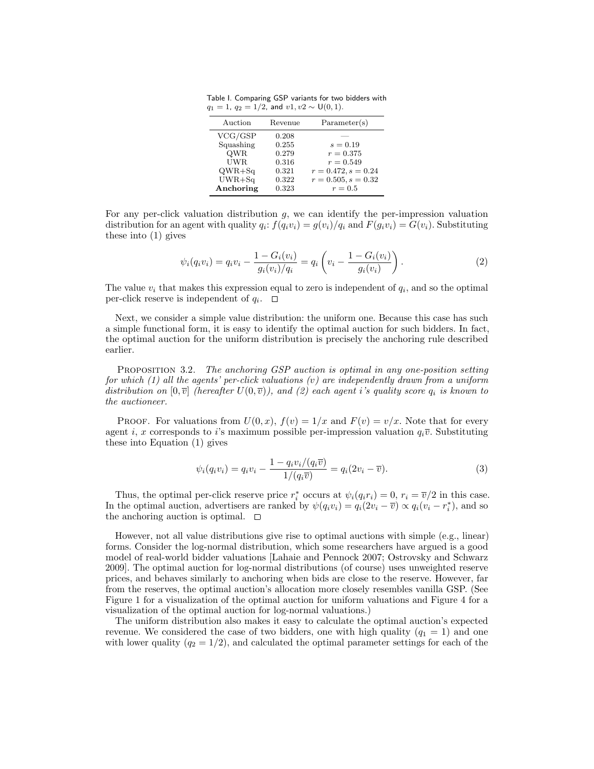Table I. Comparing GSP variants for two bidders with  $q_1 = 1$ ,  $q_2 = 1/2$ , and  $v1, v2 \sim U(0, 1)$ .

| Auction    | Revenue | Parameter(s)          |  |  |
|------------|---------|-----------------------|--|--|
| VCG/GSP    | 0.208   |                       |  |  |
| Squashing  | 0.255   | $s = 0.19$            |  |  |
| <b>QWR</b> | 0.279   | $r = 0.375$           |  |  |
| <b>UWR</b> | 0.316   | $r = 0.549$           |  |  |
| $QWR + Sq$ | 0.321   | $r = 0.472, s = 0.24$ |  |  |
| $UWR + Sq$ | 0.322   | $r = 0.505, s = 0.32$ |  |  |
| Anchoring  | 0.323   | $r = 0.5$             |  |  |

For any per-click valuation distribution  $g$ , we can identify the per-impression valuation distribution for an agent with quality  $q_i$ :  $f(q_i v_i) = g(v_i)/q_i$  and  $F(q_i v_i) = G(v_i)$ . Substituting these into (1) gives

$$
\psi_i(q_i v_i) = q_i v_i - \frac{1 - G_i(v_i)}{g_i(v_i)/q_i} = q_i \left( v_i - \frac{1 - G_i(v_i)}{g_i(v_i)} \right).
$$
\n(2)

The value  $v_i$  that makes this expression equal to zero is independent of  $q_i$ , and so the optimal per-click reserve is independent of  $q_i$ .

Next, we consider a simple value distribution: the uniform one. Because this case has such a simple functional form, it is easy to identify the optimal auction for such bidders. In fact, the optimal auction for the uniform distribution is precisely the anchoring rule described earlier.

PROPOSITION 3.2. The anchoring GSP auction is optimal in any one-position setting for which  $(1)$  all the agents' per-click valuations  $(v)$  are independently drawn from a uniform distribution on  $[0, \overline{v}]$  (hereafter  $U(0, \overline{v})$ ), and (2) each agent i's quality score  $q_i$  is known to the auctioneer.

PROOF. For valuations from  $U(0, x)$ ,  $f(v) = 1/x$  and  $F(v) = v/x$ . Note that for every agent i, x corresponds to i's maximum possible per-impression valuation  $q_i\bar{v}$ . Substituting these into Equation (1) gives

$$
\psi_i(q_i v_i) = q_i v_i - \frac{1 - q_i v_i / (q_i \overline{v})}{1 / (q_i \overline{v})} = q_i (2v_i - \overline{v}).
$$
\n(3)

Thus, the optimal per-click reserve price  $r_i^*$  occurs at  $\psi_i(q_ir_i) = 0, r_i = \overline{v}/2$  in this case. In the optimal auction, advertisers are ranked by  $\psi(q_i v_i) = q_i(2v_i - \overline{v}) \propto q_i(v_i - r_i^*)$ , and so the anchoring auction is optimal.  $\square$ 

However, not all value distributions give rise to optimal auctions with simple (e.g., linear) forms. Consider the log-normal distribution, which some researchers have argued is a good model of real-world bidder valuations [Lahaie and Pennock 2007; Ostrovsky and Schwarz 2009]. The optimal auction for log-normal distributions (of course) uses unweighted reserve prices, and behaves similarly to anchoring when bids are close to the reserve. However, far from the reserves, the optimal auction's allocation more closely resembles vanilla GSP. (See Figure 1 for a visualization of the optimal auction for uniform valuations and Figure 4 for a visualization of the optimal auction for log-normal valuations.)

The uniform distribution also makes it easy to calculate the optimal auction's expected revenue. We considered the case of two bidders, one with high quality ( $q_1 = 1$ ) and one with lower quality  $(q_2 = 1/2)$ , and calculated the optimal parameter settings for each of the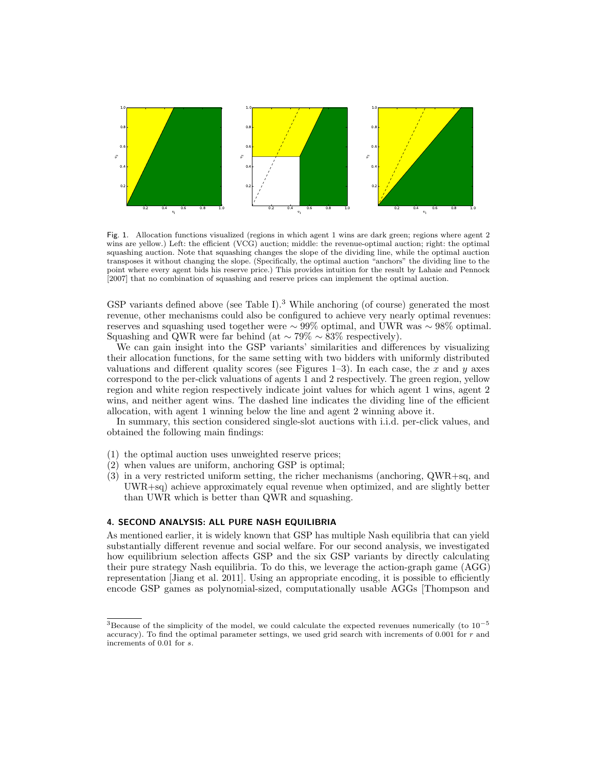

Fig. 1. Allocation functions visualized (regions in which agent 1 wins are dark green; regions where agent 2 wins are yellow.) Left: the efficient (VCG) auction; middle: the revenue-optimal auction; right: the optimal squashing auction. Note that squashing changes the slope of the dividing line, while the optimal auction transposes it without changing the slope. (Specifically, the optimal auction "anchors" the dividing line to the point where every agent bids his reserve price.) This provides intuition for the result by Lahaie and Pennock [2007] that no combination of squashing and reserve prices can implement the optimal auction.

GSP variants defined above (see Table I).<sup>3</sup> While anchoring (of course) generated the most revenue, other mechanisms could also be configured to achieve very nearly optimal revenues: reserves and squashing used together were  $\sim$  99% optimal, and UWR was  $\sim$  98% optimal. Squashing and QWR were far behind (at  $\sim 79\% \sim 83\%$  respectively).

We can gain insight into the GSP variants' similarities and differences by visualizing their allocation functions, for the same setting with two bidders with uniformly distributed valuations and different quality scores (see Figures 1–3). In each case, the x and y axes correspond to the per-click valuations of agents 1 and 2 respectively. The green region, yellow region and white region respectively indicate joint values for which agent 1 wins, agent 2 wins, and neither agent wins. The dashed line indicates the dividing line of the efficient allocation, with agent 1 winning below the line and agent 2 winning above it.

In summary, this section considered single-slot auctions with i.i.d. per-click values, and obtained the following main findings:

- (1) the optimal auction uses unweighted reserve prices;
- $(2)$  when values are uniform, anchoring GSP is optimal;
- (3) in a very restricted uniform setting, the richer mechanisms (anchoring, QWR+sq, and UWR+sq) achieve approximately equal revenue when optimized, and are slightly better than UWR which is better than QWR and squashing.

### 4. SECOND ANALYSIS: ALL PURE NASH EQUILIBRIA

As mentioned earlier, it is widely known that GSP has multiple Nash equilibria that can yield substantially different revenue and social welfare. For our second analysis, we investigated how equilibrium selection affects GSP and the six GSP variants by directly calculating their pure strategy Nash equilibria. To do this, we leverage the action-graph game (AGG) representation [Jiang et al. 2011]. Using an appropriate encoding, it is possible to efficiently encode GSP games as polynomial-sized, computationally usable AGGs [Thompson and

<sup>&</sup>lt;sup>3</sup>Because of the simplicity of the model, we could calculate the expected revenues numerically (to  $10^{-5}$ accuracy). To find the optimal parameter settings, we used grid search with increments of 0.001 for r and increments of 0.01 for s.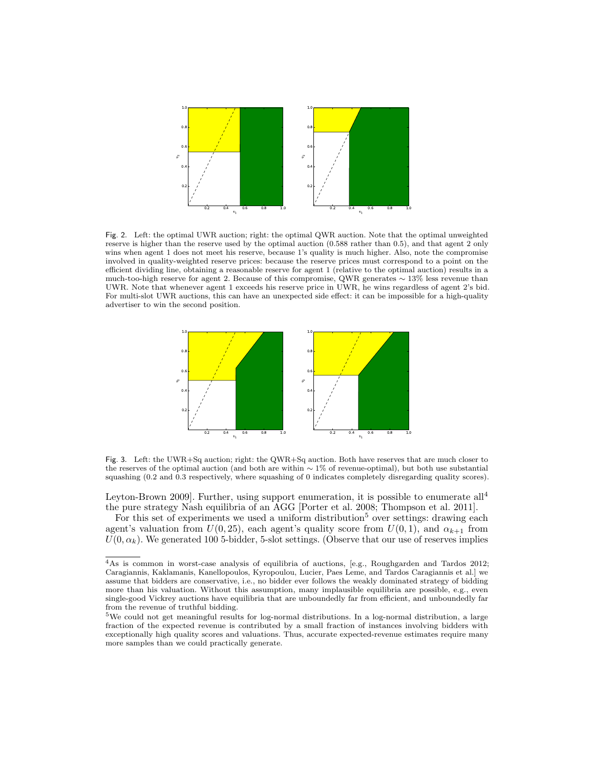

Fig. 2. Left: the optimal UWR auction; right: the optimal QWR auction. Note that the optimal unweighted reserve is higher than the reserve used by the optimal auction (0.588 rather than 0.5), and that agent 2 only wins when agent 1 does not meet his reserve, because 1's quality is much higher. Also, note the compromise involved in quality-weighted reserve prices: because the reserve prices must correspond to a point on the efficient dividing line, obtaining a reasonable reserve for agent 1 (relative to the optimal auction) results in a much-too-high reserve for agent 2. Because of this compromise, QWR generates ∼ 13% less revenue than UWR. Note that whenever agent 1 exceeds his reserve price in UWR, he wins regardless of agent 2's bid. For multi-slot UWR auctions, this can have an unexpected side effect: it can be impossible for a high-quality advertiser to win the second position.



Fig. 3. Left: the UWR+Sq auction; right: the QWR+Sq auction. Both have reserves that are much closer to the reserves of the optimal auction (and both are within ∼ 1% of revenue-optimal), but both use substantial squashing (0.2 and 0.3 respectively, where squashing of 0 indicates completely disregarding quality scores).

Leyton-Brown 2009]. Further, using support enumeration, it is possible to enumerate all<sup>4</sup> the pure strategy Nash equilibria of an AGG [Porter et al. 2008; Thompson et al. 2011].

For this set of experiments we used a uniform distribution<sup>5</sup> over settings: drawing each agent's valuation from  $U(0, 25)$ , each agent's quality score from  $U(0, 1)$ , and  $\alpha_{k+1}$  from  $U(0, \alpha_k)$ . We generated 100 5-bidder, 5-slot settings. (Observe that our use of reserves implies

<sup>4</sup>As is common in worst-case analysis of equilibria of auctions, [e.g., Roughgarden and Tardos 2012; Caragiannis, Kaklamanis, Kanellopoulos, Kyropoulou, Lucier, Paes Leme, and Tardos Caragiannis et al.] we assume that bidders are conservative, i.e., no bidder ever follows the weakly dominated strategy of bidding more than his valuation. Without this assumption, many implausible equilibria are possible, e.g., even single-good Vickrey auctions have equilibria that are unboundedly far from efficient, and unboundedly far from the revenue of truthful bidding.

<sup>5</sup>We could not get meaningful results for log-normal distributions. In a log-normal distribution, a large fraction of the expected revenue is contributed by a small fraction of instances involving bidders with exceptionally high quality scores and valuations. Thus, accurate expected-revenue estimates require many more samples than we could practically generate.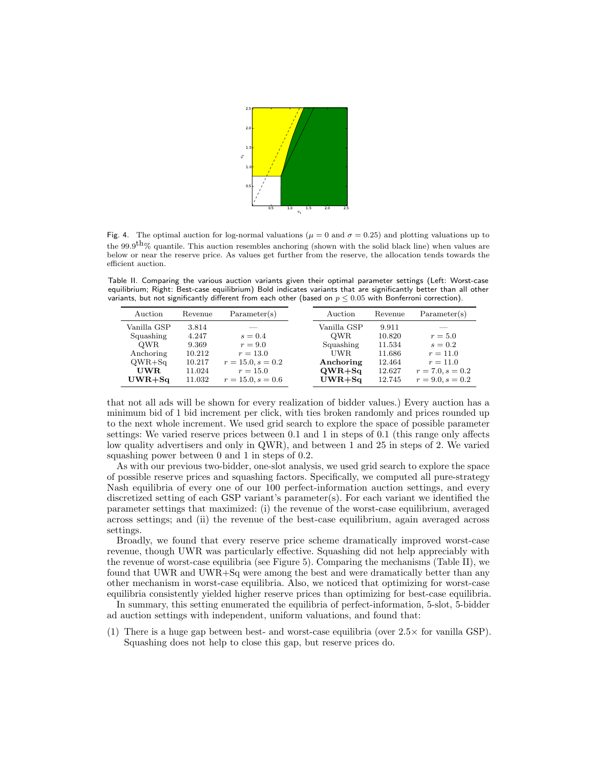

Fig. 4. The optimal auction for log-normal valuations ( $\mu = 0$  and  $\sigma = 0.25$ ) and plotting valuations up to the 99.9<sup>th</sup>% quantile. This auction resembles anchoring (shown with the solid black line) when values are below or near the reserve price. As values get further from the reserve, the allocation tends towards the efficient auction.

Table II. Comparing the various auction variants given their optimal parameter settings (Left: Worst-case equilibrium; Right: Best-case equilibrium) Bold indicates variants that are significantly better than all other variants, but not significantly different from each other (based on  $p \leq 0.05$  with Bonferroni correction).

| Auction           | Revenue          | Parameter(s)                      | Auction           | Revenue          | Parameter(s)             |
|-------------------|------------------|-----------------------------------|-------------------|------------------|--------------------------|
| Vanilla GSP       | 3.814            |                                   | Vanilla GSP       | 9.911            |                          |
| Squashing         | 4.247            | $s = 0.4$                         | <b>OWR</b>        | 10.820           | $r=5.0$                  |
| <b>OWR</b>        | 9.369            | $r = 9.0$                         | Squashing         | 11.534           | $s=0.2$                  |
| Anchoring         | 10.212<br>10.217 | $r = 13.0$                        | UWR.<br>Anchoring | 11.686<br>12.464 | $r = 11.0$<br>$r = 11.0$ |
| $QWR + Sq$<br>UWR | 11.024           | $r = 15.0, s = 0.2$<br>$r = 15.0$ | $QWR + Sq$        | 12.627           | $r = 7.0, s = 0.2$       |
| $UWR + Sa$        | 11.032           | $r = 15.0, s = 0.6$               | $UWR + Sq$        | 12.745           | $r = 9.0, s = 0.2$       |
|                   |                  |                                   |                   |                  |                          |

that not all ads will be shown for every realization of bidder values.) Every auction has a minimum bid of 1 bid increment per click, with ties broken randomly and prices rounded up to the next whole increment. We used grid search to explore the space of possible parameter settings: We varied reserve prices between 0.1 and 1 in steps of 0.1 (this range only affects low quality advertisers and only in QWR), and between 1 and 25 in steps of 2. We varied squashing power between 0 and 1 in steps of 0.2.

As with our previous two-bidder, one-slot analysis, we used grid search to explore the space of possible reserve prices and squashing factors. Specifically, we computed all pure-strategy Nash equilibria of every one of our 100 perfect-information auction settings, and every discretized setting of each GSP variant's parameter(s). For each variant we identified the parameter settings that maximized: (i) the revenue of the worst-case equilibrium, averaged across settings; and (ii) the revenue of the best-case equilibrium, again averaged across settings.

Broadly, we found that every reserve price scheme dramatically improved worst-case revenue, though UWR was particularly effective. Squashing did not help appreciably with the revenue of worst-case equilibria (see Figure 5). Comparing the mechanisms (Table II), we found that UWR and UWR+Sq were among the best and were dramatically better than any other mechanism in worst-case equilibria. Also, we noticed that optimizing for worst-case equilibria consistently yielded higher reserve prices than optimizing for best-case equilibria.

In summary, this setting enumerated the equilibria of perfect-information, 5-slot, 5-bidder ad auction settings with independent, uniform valuations, and found that:

(1) There is a huge gap between best- and worst-case equilibria (over  $2.5\times$  for vanilla GSP). Squashing does not help to close this gap, but reserve prices do.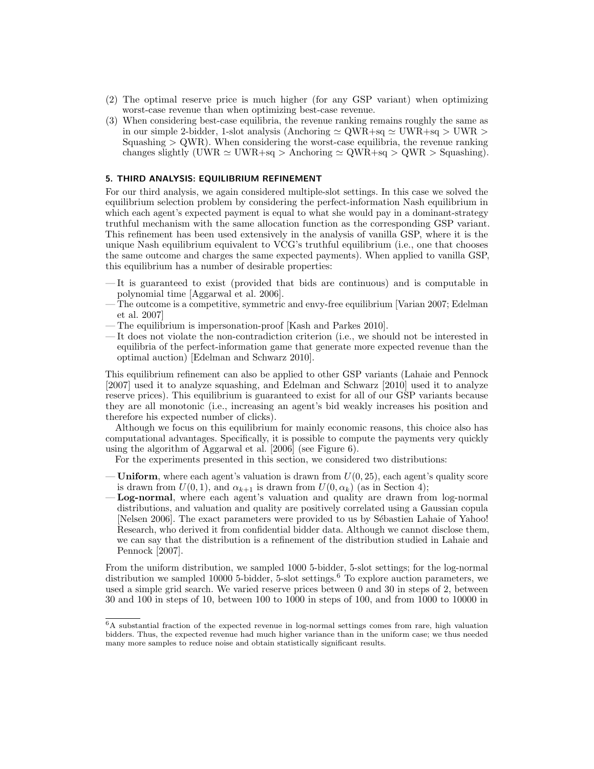- (2) The optimal reserve price is much higher (for any GSP variant) when optimizing worst-case revenue than when optimizing best-case revenue.
- (3) When considering best-case equilibria, the revenue ranking remains roughly the same as in our simple 2-bidder, 1-slot analysis (Anchoring  $\simeq$  QWR+sq  $\simeq$  UWR+sq  $>$  UWR  $>$ Squashing  $> QWR$ ). When considering the worst-case equilibria, the revenue ranking changes slightly (UWR  $\simeq$  UWR+sq > Anchoring  $\simeq$  QWR+sq > QWR > Squashing).

## 5. THIRD ANALYSIS: EQUILIBRIUM REFINEMENT

For our third analysis, we again considered multiple-slot settings. In this case we solved the equilibrium selection problem by considering the perfect-information Nash equilibrium in which each agent's expected payment is equal to what she would pay in a dominant-strategy truthful mechanism with the same allocation function as the corresponding GSP variant. This refinement has been used extensively in the analysis of vanilla GSP, where it is the unique Nash equilibrium equivalent to VCG's truthful equilibrium (i.e., one that chooses the same outcome and charges the same expected payments). When applied to vanilla GSP, this equilibrium has a number of desirable properties:

- It is guaranteed to exist (provided that bids are continuous) and is computable in polynomial time [Aggarwal et al. 2006].
- The outcome is a competitive, symmetric and envy-free equilibrium [Varian 2007; Edelman et al. 2007]
- The equilibrium is impersonation-proof [Kash and Parkes 2010].
- It does not violate the non-contradiction criterion (i.e., we should not be interested in equilibria of the perfect-information game that generate more expected revenue than the optimal auction) [Edelman and Schwarz 2010].

This equilibrium refinement can also be applied to other GSP variants (Lahaie and Pennock [2007] used it to analyze squashing, and Edelman and Schwarz [2010] used it to analyze reserve prices). This equilibrium is guaranteed to exist for all of our GSP variants because they are all monotonic (i.e., increasing an agent's bid weakly increases his position and therefore his expected number of clicks).

Although we focus on this equilibrium for mainly economic reasons, this choice also has computational advantages. Specifically, it is possible to compute the payments very quickly using the algorithm of Aggarwal et al. [2006] (see Figure 6).

For the experiments presented in this section, we considered two distributions:

- **Uniform**, where each agent's valuation is drawn from  $U(0, 25)$ , each agent's quality score is drawn from  $U(0, 1)$ , and  $\alpha_{k+1}$  is drawn from  $U(0, \alpha_k)$  (as in Section 4);
- Log-normal, where each agent's valuation and quality are drawn from log-normal distributions, and valuation and quality are positively correlated using a Gaussian copula [Nelsen 2006]. The exact parameters were provided to us by Sébastien Lahaie of Yahoo! Research, who derived it from confidential bidder data. Although we cannot disclose them, we can say that the distribution is a refinement of the distribution studied in Lahaie and Pennock [2007].

From the uniform distribution, we sampled 1000 5-bidder, 5-slot settings; for the log-normal distribution we sampled 10000 5-bidder, 5-slot settings.<sup>6</sup> To explore auction parameters, we used a simple grid search. We varied reserve prices between 0 and 30 in steps of 2, between 30 and 100 in steps of 10, between 100 to 1000 in steps of 100, and from 1000 to 10000 in

<sup>6</sup>A substantial fraction of the expected revenue in log-normal settings comes from rare, high valuation bidders. Thus, the expected revenue had much higher variance than in the uniform case; we thus needed many more samples to reduce noise and obtain statistically significant results.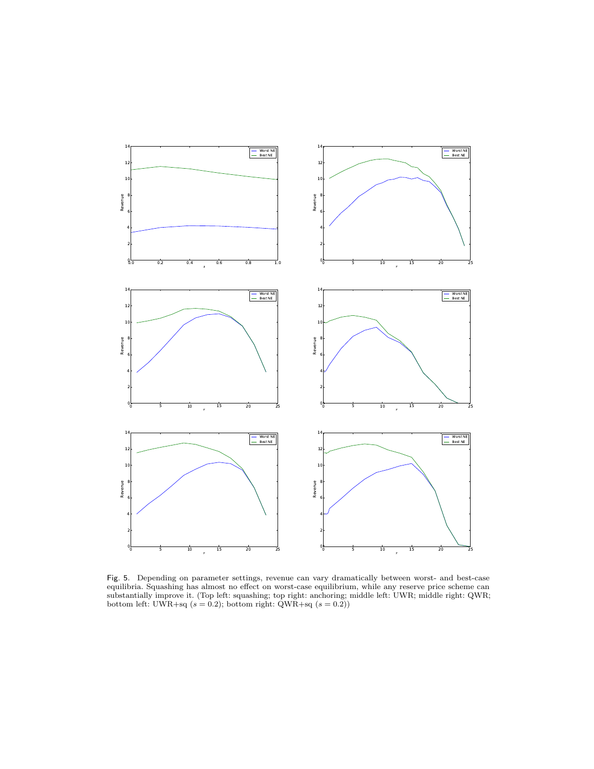

Fig. 5. Depending on parameter settings, revenue can vary dramatically between worst- and best-case equilibria. Squashing has almost no effect on worst-case equilibrium, while any reserve price scheme can substantially improve it. (Top left: squashing; top right: anchoring; middle left: UWR; middle right: QWR; bottom left: UWR+sq  $(s = 0.2)$ ; bottom right: QWR+sq  $(s = 0.2)$ )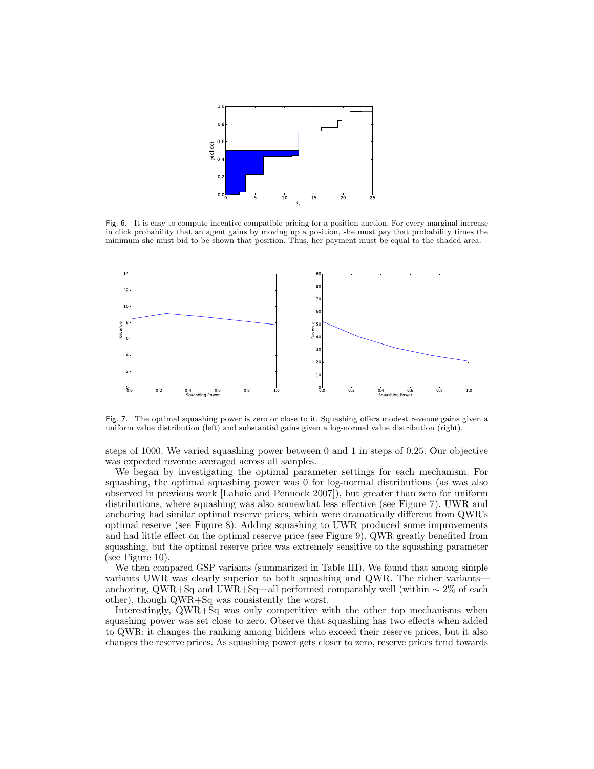

Fig. 6. It is easy to compute incentive compatible pricing for a position auction. For every marginal increase in click probability that an agent gains by moving up a position, she must pay that probability times the minimum she must bid to be shown that position. Thus, her payment must be equal to the shaded area.



Fig. 7. The optimal squashing power is zero or close to it. Squashing offers modest revenue gains given a uniform value distribution (left) and substantial gains given a log-normal value distribution (right).

steps of 1000. We varied squashing power between 0 and 1 in steps of 0.25. Our objective was expected revenue averaged across all samples.

We began by investigating the optimal parameter settings for each mechanism. For squashing, the optimal squashing power was 0 for log-normal distributions (as was also observed in previous work [Lahaie and Pennock 2007]), but greater than zero for uniform distributions, where squashing was also somewhat less effective (see Figure 7). UWR and anchoring had similar optimal reserve prices, which were dramatically different from QWR's optimal reserve (see Figure 8). Adding squashing to UWR produced some improvements and had little effect on the optimal reserve price (see Figure 9). QWR greatly benefited from squashing, but the optimal reserve price was extremely sensitive to the squashing parameter (see Figure 10).

We then compared GSP variants (summarized in Table III). We found that among simple variants UWR was clearly superior to both squashing and QWR. The richer variants anchoring, QWR+Sq and UWR+Sq—all performed comparably well (within  $\sim 2\%$  of each other), though QWR+Sq was consistently the worst.

Interestingly, QWR+Sq was only competitive with the other top mechanisms when squashing power was set close to zero. Observe that squashing has two effects when added to QWR: it changes the ranking among bidders who exceed their reserve prices, but it also changes the reserve prices. As squashing power gets closer to zero, reserve prices tend towards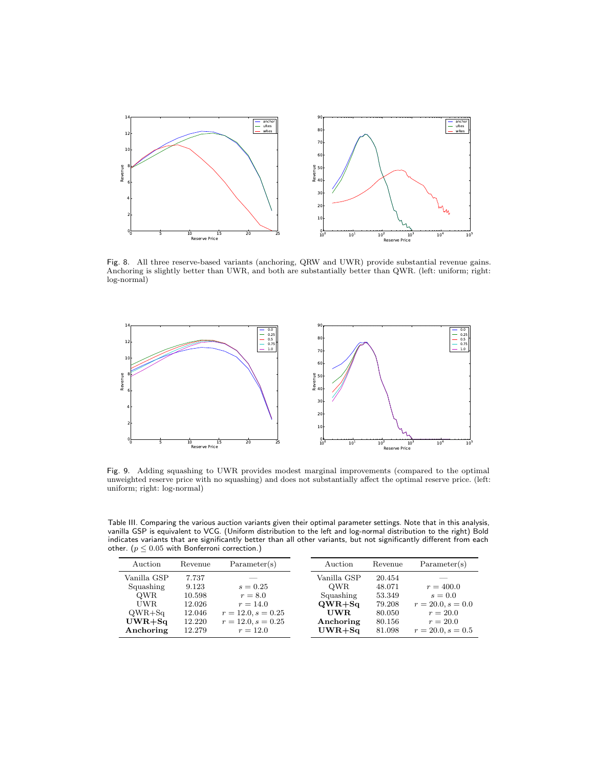

Fig. 8. All three reserve-based variants (anchoring, QRW and UWR) provide substantial revenue gains. Anchoring is slightly better than UWR, and both are substantially better than QWR. (left: uniform; right: log-normal)



Fig. 9. Adding squashing to UWR provides modest marginal improvements (compared to the optimal unweighted reserve price with no squashing) and does not substantially affect the optimal reserve price. (left: uniform; right: log-normal)

Table III. Comparing the various auction variants given their optimal parameter settings. Note that in this analysis, vanilla GSP is equivalent to VCG. (Uniform distribution to the left and log-normal distribution to the right) Bold indicates variants that are significantly better than all other variants, but not significantly different from each other. ( $p \leq 0.05$  with Bonferroni correction.)

| Auction     | Revenue | Parameter(s)         | Auction     | Revenue | Parameter(s)        |
|-------------|---------|----------------------|-------------|---------|---------------------|
| Vanilla GSP | 7.737   |                      | Vanilla GSP | 20.454  |                     |
| Squashing   | 9.123   | $s = 0.25$           | <b>OWR</b>  | 48.071  | $r = 400.0$         |
| <b>OWR</b>  | 10.598  | $r = 8.0$            | Squashing   | 53.349  | $s = 0.0$           |
| UWR.        | 12.026  | $r = 14.0$           | $QWR + Sq$  | 79.208  | $r = 20.0, s = 0.0$ |
| $QWR + Sq$  | 12.046  | $r = 12.0, s = 0.25$ | UWR.        | 80.050  | $r = 20.0$          |
| $UWR + Sq$  | 12.220  | $r = 12.0, s = 0.25$ | Anchoring   | 80.156  | $r = 20.0$          |
| Anchoring   | 12.279  | $r = 12.0$           | $UWR + Sq$  | 81.098  | $r = 20.0, s = 0.5$ |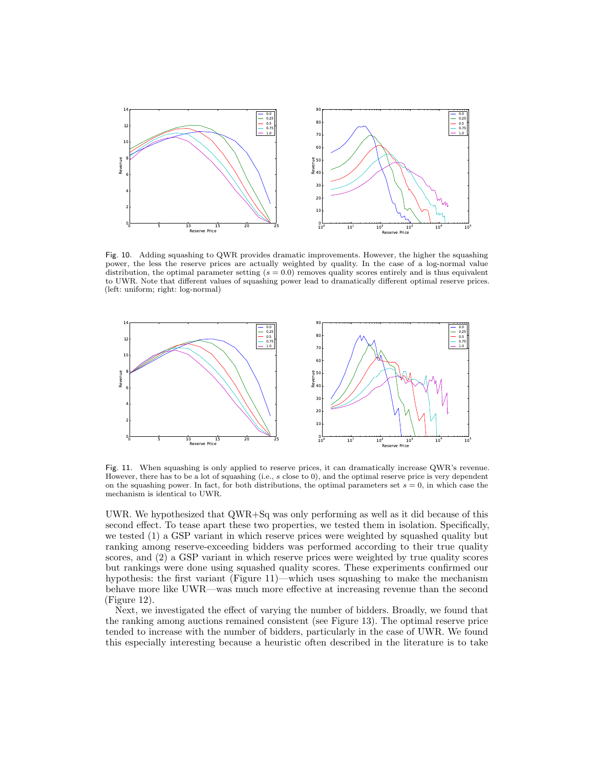

Fig. 10. Adding squashing to QWR provides dramatic improvements. However, the higher the squashing power, the less the reserve prices are actually weighted by quality. In the case of a log-normal value distribution, the optimal parameter setting  $(s = 0.0)$  removes quality scores entirely and is thus equivalent to UWR. Note that different values of squashing power lead to dramatically different optimal reserve prices. (left: uniform; right: log-normal)



Fig. 11. When squashing is only applied to reserve prices, it can dramatically increase QWR's revenue. However, there has to be a lot of squashing (i.e., s close to 0), and the optimal reserve price is very dependent on the squashing power. In fact, for both distributions, the optimal parameters set  $s = 0$ , in which case the mechanism is identical to UWR.

UWR. We hypothesized that QWR+Sq was only performing as well as it did because of this second effect. To tease apart these two properties, we tested them in isolation. Specifically, we tested (1) a GSP variant in which reserve prices were weighted by squashed quality but ranking among reserve-exceeding bidders was performed according to their true quality scores, and (2) a GSP variant in which reserve prices were weighted by true quality scores but rankings were done using squashed quality scores. These experiments confirmed our hypothesis: the first variant (Figure 11)—which uses squashing to make the mechanism behave more like UWR—was much more effective at increasing revenue than the second (Figure 12).

Next, we investigated the effect of varying the number of bidders. Broadly, we found that the ranking among auctions remained consistent (see Figure 13). The optimal reserve price tended to increase with the number of bidders, particularly in the case of UWR. We found this especially interesting because a heuristic often described in the literature is to take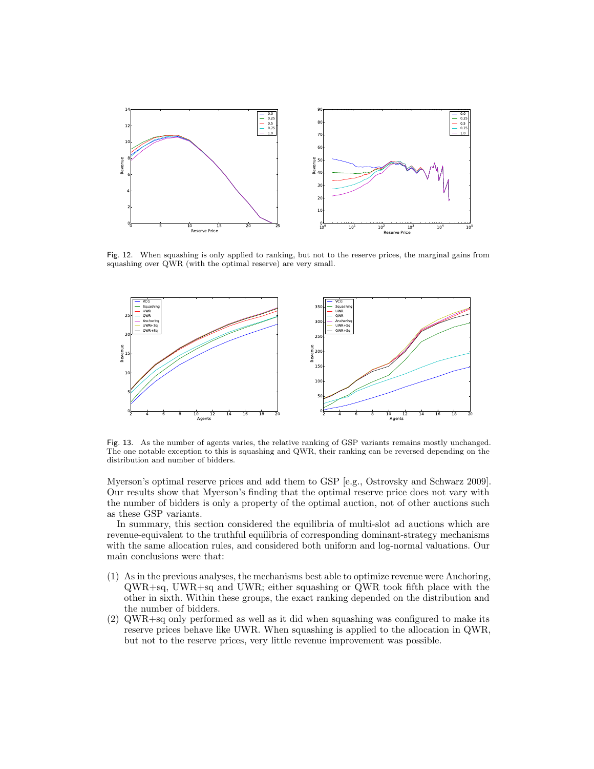

Fig. 12. When squashing is only applied to ranking, but not to the reserve prices, the marginal gains from squashing over QWR (with the optimal reserve) are very small.



Fig. 13. As the number of agents varies, the relative ranking of GSP variants remains mostly unchanged. The one notable exception to this is squashing and QWR, their ranking can be reversed depending on the distribution and number of bidders.

Myerson's optimal reserve prices and add them to GSP [e.g., Ostrovsky and Schwarz 2009]. Our results show that Myerson's finding that the optimal reserve price does not vary with the number of bidders is only a property of the optimal auction, not of other auctions such as these GSP variants.

In summary, this section considered the equilibria of multi-slot ad auctions which are revenue-equivalent to the truthful equilibria of corresponding dominant-strategy mechanisms with the same allocation rules, and considered both uniform and log-normal valuations. Our main conclusions were that:

- (1) As in the previous analyses, the mechanisms best able to optimize revenue were Anchoring, QWR+sq, UWR+sq and UWR; either squashing or QWR took fifth place with the other in sixth. Within these groups, the exact ranking depended on the distribution and the number of bidders.
- (2) QWR+sq only performed as well as it did when squashing was configured to make its reserve prices behave like UWR. When squashing is applied to the allocation in QWR, but not to the reserve prices, very little revenue improvement was possible.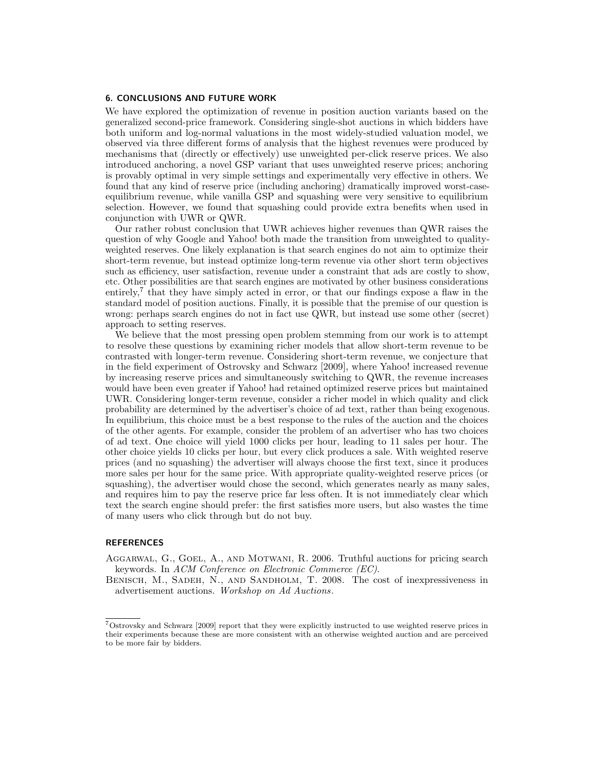## 6. CONCLUSIONS AND FUTURE WORK

We have explored the optimization of revenue in position auction variants based on the generalized second-price framework. Considering single-shot auctions in which bidders have both uniform and log-normal valuations in the most widely-studied valuation model, we observed via three different forms of analysis that the highest revenues were produced by mechanisms that (directly or effectively) use unweighted per-click reserve prices. We also introduced anchoring, a novel GSP variant that uses unweighted reserve prices; anchoring is provably optimal in very simple settings and experimentally very effective in others. We found that any kind of reserve price (including anchoring) dramatically improved worst-caseequilibrium revenue, while vanilla GSP and squashing were very sensitive to equilibrium selection. However, we found that squashing could provide extra benefits when used in conjunction with UWR or QWR.

Our rather robust conclusion that UWR achieves higher revenues than QWR raises the question of why Google and Yahoo! both made the transition from unweighted to qualityweighted reserves. One likely explanation is that search engines do not aim to optimize their short-term revenue, but instead optimize long-term revenue via other short term objectives such as efficiency, user satisfaction, revenue under a constraint that ads are costly to show, etc. Other possibilities are that search engines are motivated by other business considerations entirely,<sup>7</sup> that they have simply acted in error, or that our findings expose a flaw in the standard model of position auctions. Finally, it is possible that the premise of our question is wrong: perhaps search engines do not in fact use QWR, but instead use some other (secret) approach to setting reserves.

We believe that the most pressing open problem stemming from our work is to attempt to resolve these questions by examining richer models that allow short-term revenue to be contrasted with longer-term revenue. Considering short-term revenue, we conjecture that in the field experiment of Ostrovsky and Schwarz [2009], where Yahoo! increased revenue by increasing reserve prices and simultaneously switching to QWR, the revenue increases would have been even greater if Yahoo! had retained optimized reserve prices but maintained UWR. Considering longer-term revenue, consider a richer model in which quality and click probability are determined by the advertiser's choice of ad text, rather than being exogenous. In equilibrium, this choice must be a best response to the rules of the auction and the choices of the other agents. For example, consider the problem of an advertiser who has two choices of ad text. One choice will yield 1000 clicks per hour, leading to 11 sales per hour. The other choice yields 10 clicks per hour, but every click produces a sale. With weighted reserve prices (and no squashing) the advertiser will always choose the first text, since it produces more sales per hour for the same price. With appropriate quality-weighted reserve prices (or squashing), the advertiser would chose the second, which generates nearly as many sales, and requires him to pay the reserve price far less often. It is not immediately clear which text the search engine should prefer: the first satisfies more users, but also wastes the time of many users who click through but do not buy.

### REFERENCES

- Aggarwal, G., Goel, A., and Motwani, R. 2006. Truthful auctions for pricing search keywords. In ACM Conference on Electronic Commerce (EC).
- Benisch, M., Sadeh, N., and Sandholm, T. 2008. The cost of inexpressiveness in advertisement auctions. Workshop on Ad Auctions.

<sup>7</sup>Ostrovsky and Schwarz [2009] report that they were explicitly instructed to use weighted reserve prices in their experiments because these are more consistent with an otherwise weighted auction and are perceived to be more fair by bidders.